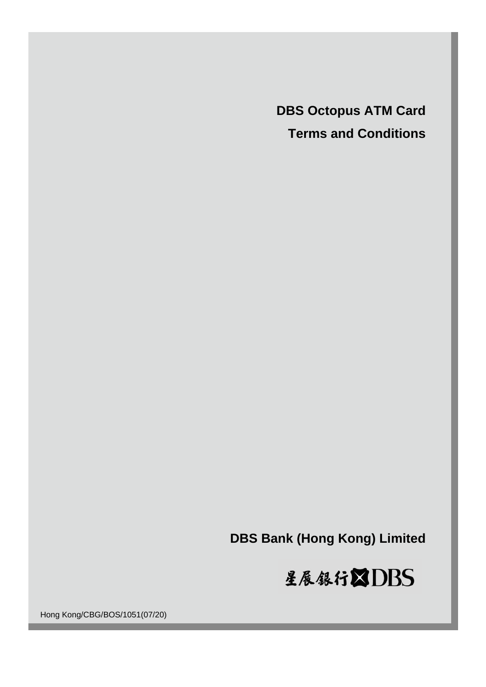**DBS Octopus ATM Card Terms and Conditions**

**DBS Bank (Hong Kong) Limited**



Hong Kong/CBG/BOS/1051(07/20)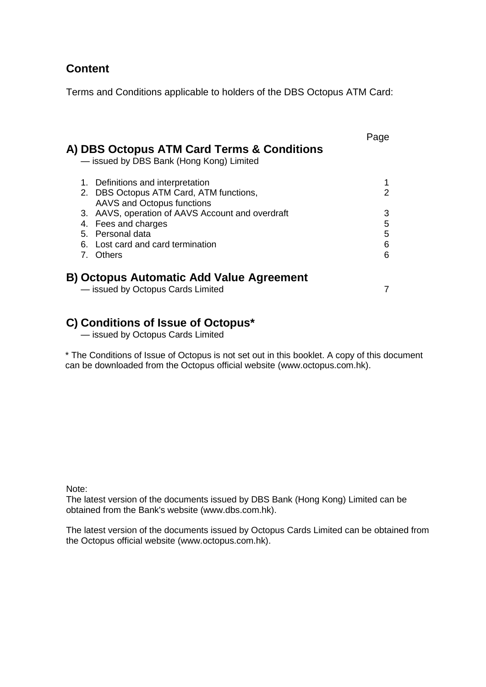# **Content**

Terms and Conditions applicable to holders of the DBS Octopus ATM Card:

| A) DBS Octopus ATM Card Terms & Conditions<br>- issued by DBS Bank (Hong Kong) Limited                                                                                      | Page                  |
|-----------------------------------------------------------------------------------------------------------------------------------------------------------------------------|-----------------------|
| Definitions and interpretation<br>1.<br>2. DBS Octopus ATM Card, ATM functions,                                                                                             | 2                     |
| AAVS and Octopus functions<br>3. AAVS, operation of AAVS Account and overdraft<br>4. Fees and charges<br>5. Personal data<br>6. Lost card and card termination<br>7. Others | 3<br>5<br>5<br>6<br>6 |
| <b>B) Octopus Automatic Add Value Agreement</b><br>- issued by Octopus Cards Limited                                                                                        |                       |

# **C) Conditions of Issue of Octopus\***

— issued by Octopus Cards Limited

\* The Conditions of Issue of Octopus is not set out in this booklet. A copy of this document can be downloaded from the Octopus official website (www.octopus.com.hk).

Note:

The latest version of the documents issued by DBS Bank (Hong Kong) Limited can be obtained from the Bank's website (www.dbs.com.hk).

The latest version of the documents issued by Octopus Cards Limited can be obtained from the Octopus official website (www.octopus.com.hk).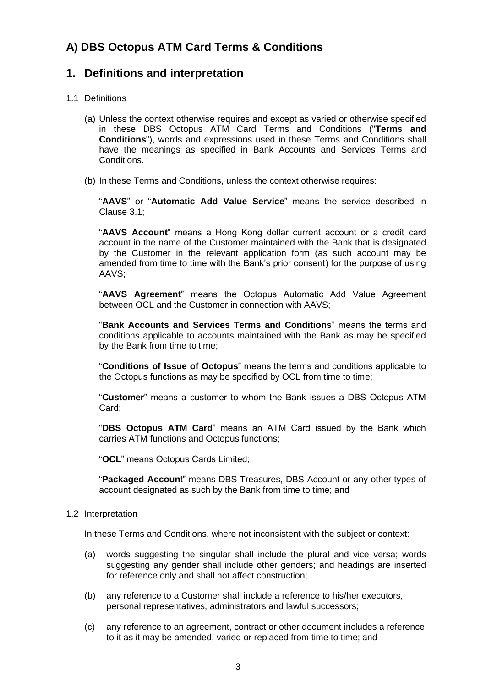# **A) DBS Octopus ATM Card Terms & Conditions**

## <span id="page-2-0"></span>**1. Definitions and interpretation**

## 1.1 Definitions

- (a) Unless the context otherwise requires and except as varied or otherwise specified in these DBS Octopus ATM Card Terms and Conditions ("**Terms and Conditions**"), words and expressions used in these Terms and Conditions shall have the meanings as specified in Bank Accounts and Services Terms and Conditions.
- (b) In these Terms and Conditions, unless the context otherwise requires:

"**AAVS**" or "**Automatic Add Value Service**" means the service described in Clause 3.1;

"**AAVS Account**" means a Hong Kong dollar current account or a credit card account in the name of the Customer maintained with the Bank that is designated by the Customer in the relevant application form (as such account may be amended from time to time with the Bank's prior consent) for the purpose of using AAVS;

"**AAVS Agreement**" means the Octopus Automatic Add Value Agreement between OCL and the Customer in connection with AAVS;

"**Bank Accounts and Services Terms and Conditions**" means the terms and conditions applicable to accounts maintained with the Bank as may be specified by the Bank from time to time;

"**Conditions of Issue of Octopus**" means the terms and conditions applicable to the Octopus functions as may be specified by OCL from time to time;

"**Customer**" means a customer to whom the Bank issues a DBS Octopus ATM Card;

"**DBS Octopus ATM Card**" means an ATM Card issued by the Bank which carries ATM functions and Octopus functions;

"**OCL**" means Octopus Cards Limited;

"**Packaged Accoun**t" means DBS Treasures, DBS Account or any other types of account designated as such by the Bank from time to time; and

#### 1.2 Interpretation

In these Terms and Conditions, where not inconsistent with the subject or context:

- (a) words suggesting the singular shall include the plural and vice versa; words suggesting any gender shall include other genders; and headings are inserted for reference only and shall not affect construction;
- (b) any reference to a Customer shall include a reference to his/her executors, personal representatives, administrators and lawful successors;
- (c) any reference to an agreement, contract or other document includes a reference to it as it may be amended, varied or replaced from time to time; and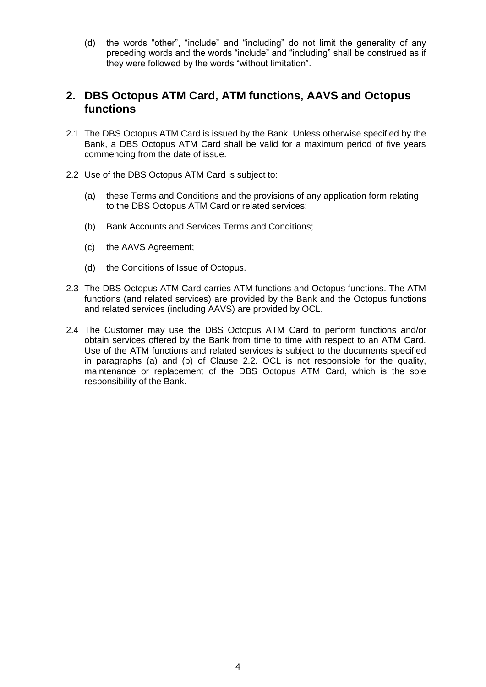(d) the words "other", "include" and "including" do not limit the generality of any preceding words and the words "include" and "including" shall be construed as if they were followed by the words "without limitation".

## **2. DBS Octopus ATM Card, ATM functions, AAVS and Octopus functions**

- 2.1 The DBS Octopus ATM Card is issued by the Bank. Unless otherwise specified by the Bank, a DBS Octopus ATM Card shall be valid for a maximum period of five years commencing from the date of issue.
- 2.2 Use of the DBS Octopus ATM Card is subject to:
	- (a) these Terms and Conditions and the provisions of any application form relating to the DBS Octopus ATM Card or related services;
	- (b) Bank Accounts and Services Terms and Conditions;
	- (c) the AAVS Agreement;
	- (d) the Conditions of Issue of Octopus.
- 2.3 The DBS Octopus ATM Card carries ATM functions and Octopus functions. The ATM functions (and related services) are provided by the Bank and the Octopus functions and related services (including AAVS) are provided by OCL.
- 2.4 The Customer may use the DBS Octopus ATM Card to perform functions and/or obtain services offered by the Bank from time to time with respect to an ATM Card. Use of the ATM functions and related services is subject to the documents specified in paragraphs (a) and (b) of Clause 2.2. OCL is not responsible for the quality, maintenance or replacement of the DBS Octopus ATM Card, which is the sole responsibility of the Bank.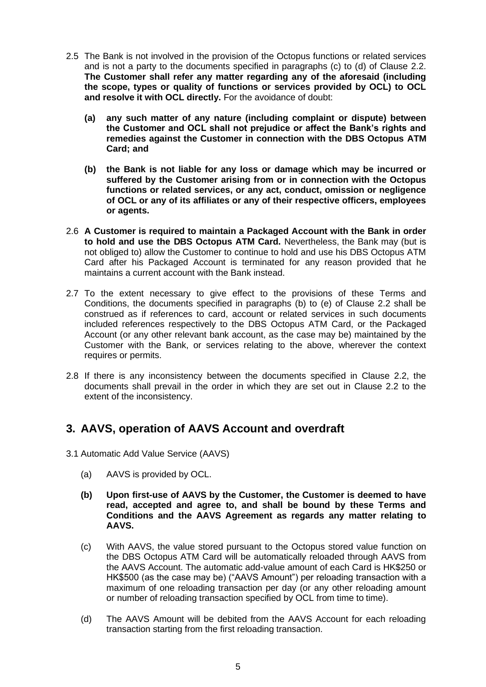- 2.5 The Bank is not involved in the provision of the Octopus functions or related services and is not a party to the documents specified in paragraphs (c) to (d) of Clause 2.2. **The Customer shall refer any matter regarding any of the aforesaid (including the scope, types or quality of functions or services provided by OCL) to OCL and resolve it with OCL directly.** For the avoidance of doubt:
	- **(a) any such matter of any nature (including complaint or dispute) between the Customer and OCL shall not prejudice or affect the Bank's rights and remedies against the Customer in connection with the DBS Octopus ATM Card; and**
	- **(b) the Bank is not liable for any loss or damage which may be incurred or suffered by the Customer arising from or in connection with the Octopus functions or related services, or any act, conduct, omission or negligence of OCL or any of its affiliates or any of their respective officers, employees or agents.**
- 2.6 **A Customer is required to maintain a Packaged Account with the Bank in order to hold and use the DBS Octopus ATM Card.** Nevertheless, the Bank may (but is not obliged to) allow the Customer to continue to hold and use his DBS Octopus ATM Card after his Packaged Account is terminated for any reason provided that he maintains a current account with the Bank instead.
- 2.7 To the extent necessary to give effect to the provisions of these Terms and Conditions, the documents specified in paragraphs (b) to (e) of Clause 2.2 shall be construed as if references to card, account or related services in such documents included references respectively to the DBS Octopus ATM Card, or the Packaged Account (or any other relevant bank account, as the case may be) maintained by the Customer with the Bank, or services relating to the above, wherever the context requires or permits.
- 2.8 If there is any inconsistency between the documents specified in Clause 2.2, the documents shall prevail in the order in which they are set out in Clause 2.2 to the extent of the inconsistency.

## <span id="page-4-0"></span>**3. AAVS, operation of AAVS Account and overdraft**

- 3.1 Automatic Add Value Service (AAVS)
	- (a) AAVS is provided by OCL.
	- **(b) Upon first-use of AAVS by the Customer, the Customer is deemed to have read, accepted and agree to, and shall be bound by these Terms and Conditions and the AAVS Agreement as regards any matter relating to AAVS.**
	- (c) With AAVS, the value stored pursuant to the Octopus stored value function on the DBS Octopus ATM Card will be automatically reloaded through AAVS from the AAVS Account. The automatic add-value amount of each Card is HK\$250 or HK\$500 (as the case may be) ("AAVS Amount") per reloading transaction with a maximum of one reloading transaction per day (or any other reloading amount or number of reloading transaction specified by OCL from time to time).
	- (d) The AAVS Amount will be debited from the AAVS Account for each reloading transaction starting from the first reloading transaction.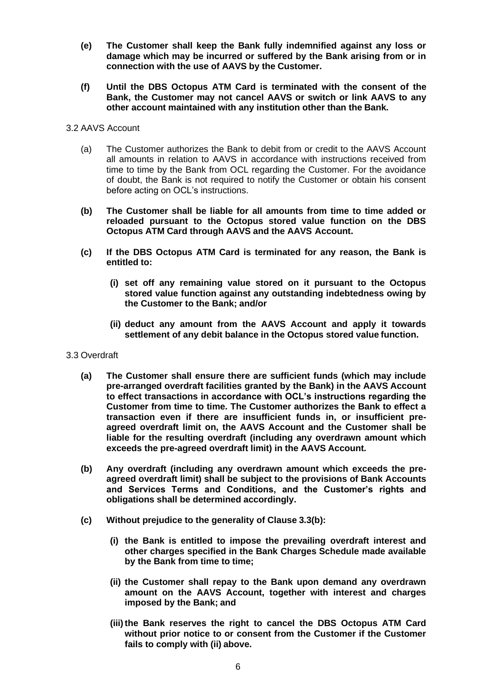- **(e) The Customer shall keep the Bank fully indemnified against any loss or damage which may be incurred or suffered by the Bank arising from or in connection with the use of AAVS by the Customer.**
- **(f) Until the DBS Octopus ATM Card is terminated with the consent of the Bank, the Customer may not cancel AAVS or switch or link AAVS to any other account maintained with any institution other than the Bank.**

### 3.2 AAVS Account

- (a) The Customer authorizes the Bank to debit from or credit to the AAVS Account all amounts in relation to AAVS in accordance with instructions received from time to time by the Bank from OCL regarding the Customer. For the avoidance of doubt, the Bank is not required to notify the Customer or obtain his consent before acting on OCL's instructions.
- **(b) The Customer shall be liable for all amounts from time to time added or reloaded pursuant to the Octopus stored value function on the DBS Octopus ATM Card through AAVS and the AAVS Account.**
- **(c) If the DBS Octopus ATM Card is terminated for any reason, the Bank is entitled to:**
	- **(i) set off any remaining value stored on it pursuant to the Octopus stored value function against any outstanding indebtedness owing by the Customer to the Bank; and/or**
	- **(ii) deduct any amount from the AAVS Account and apply it towards settlement of any debit balance in the Octopus stored value function.**
- 3.3 Overdraft
	- **(a) The Customer shall ensure there are sufficient funds (which may include pre-arranged overdraft facilities granted by the Bank) in the AAVS Account to effect transactions in accordance with OCL's instructions regarding the Customer from time to time. The Customer authorizes the Bank to effect a transaction even if there are insufficient funds in, or insufficient preagreed overdraft limit on, the AAVS Account and the Customer shall be liable for the resulting overdraft (including any overdrawn amount which exceeds the pre-agreed overdraft limit) in the AAVS Account.**
	- **(b) Any overdraft (including any overdrawn amount which exceeds the preagreed overdraft limit) shall be subject to the provisions of Bank Accounts and Services Terms and Conditions, and the Customer's rights and obligations shall be determined accordingly.**
	- **(c) Without prejudice to the generality of Clause 3.3(b):**
		- **(i) the Bank is entitled to impose the prevailing overdraft interest and other charges specified in the Bank Charges Schedule made available by the Bank from time to time;**
		- **(ii) the Customer shall repay to the Bank upon demand any overdrawn amount on the AAVS Account, together with interest and charges imposed by the Bank; and**
		- **(iii)the Bank reserves the right to cancel the DBS Octopus ATM Card without prior notice to or consent from the Customer if the Customer fails to comply with (ii) above.**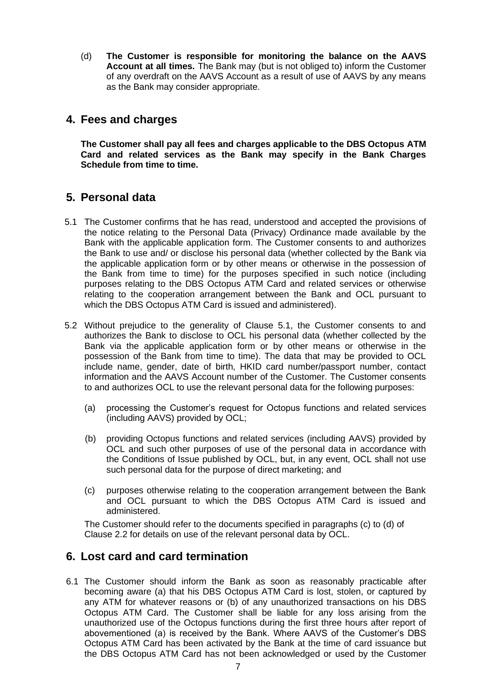(d) **The Customer is responsible for monitoring the balance on the AAVS Account at all times.** The Bank may (but is not obliged to) inform the Customer of any overdraft on the AAVS Account as a result of use of AAVS by any means as the Bank may consider appropriate.

## <span id="page-6-0"></span>**4. Fees and charges**

**The Customer shall pay all fees and charges applicable to the DBS Octopus ATM Card and related services as the Bank may specify in the Bank Charges Schedule from time to time.**

# <span id="page-6-1"></span>**5. Personal data**

- 5.1 The Customer confirms that he has read, understood and accepted the provisions of the notice relating to the Personal Data (Privacy) Ordinance made available by the Bank with the applicable application form. The Customer consents to and authorizes the Bank to use and/ or disclose his personal data (whether collected by the Bank via the applicable application form or by other means or otherwise in the possession of the Bank from time to time) for the purposes specified in such notice (including purposes relating to the DBS Octopus ATM Card and related services or otherwise relating to the cooperation arrangement between the Bank and OCL pursuant to which the DBS Octopus ATM Card is issued and administered).
- 5.2 Without prejudice to the generality of Clause 5.1, the Customer consents to and authorizes the Bank to disclose to OCL his personal data (whether collected by the Bank via the applicable application form or by other means or otherwise in the possession of the Bank from time to time). The data that may be provided to OCL include name, gender, date of birth, HKID card number/passport number, contact information and the AAVS Account number of the Customer. The Customer consents to and authorizes OCL to use the relevant personal data for the following purposes:
	- (a) processing the Customer's request for Octopus functions and related services (including AAVS) provided by OCL;
	- (b) providing Octopus functions and related services (including AAVS) provided by OCL and such other purposes of use of the personal data in accordance with the Conditions of Issue published by OCL, but, in any event, OCL shall not use such personal data for the purpose of direct marketing; and
	- (c) purposes otherwise relating to the cooperation arrangement between the Bank and OCL pursuant to which the DBS Octopus ATM Card is issued and administered.

The Customer should refer to the documents specified in paragraphs (c) to (d) of Clause 2.2 for details on use of the relevant personal data by OCL.

## <span id="page-6-2"></span>**6. Lost card and card termination**

6.1 The Customer should inform the Bank as soon as reasonably practicable after becoming aware (a) that his DBS Octopus ATM Card is lost, stolen, or captured by any ATM for whatever reasons or (b) of any unauthorized transactions on his DBS Octopus ATM Card. The Customer shall be liable for any loss arising from the unauthorized use of the Octopus functions during the first three hours after report of abovementioned (a) is received by the Bank. Where AAVS of the Customer's DBS Octopus ATM Card has been activated by the Bank at the time of card issuance but the DBS Octopus ATM Card has not been acknowledged or used by the Customer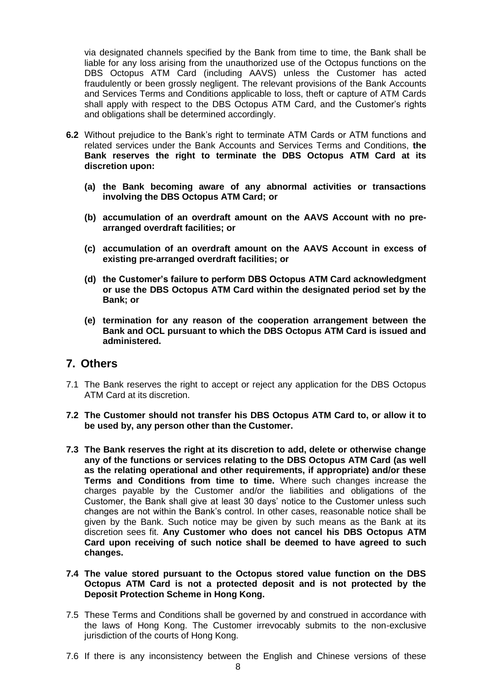via designated channels specified by the Bank from time to time, the Bank shall be liable for any loss arising from the unauthorized use of the Octopus functions on the DBS Octopus ATM Card (including AAVS) unless the Customer has acted fraudulently or been grossly negligent. The relevant provisions of the Bank Accounts and Services Terms and Conditions applicable to loss, theft or capture of ATM Cards shall apply with respect to the DBS Octopus ATM Card, and the Customer's rights and obligations shall be determined accordingly.

- **6.2** Without prejudice to the Bank's right to terminate ATM Cards or ATM functions and related services under the Bank Accounts and Services Terms and Conditions, **the Bank reserves the right to terminate the DBS Octopus ATM Card at its discretion upon:**
	- **(a) the Bank becoming aware of any abnormal activities or transactions involving the DBS Octopus ATM Card; or**
	- **(b) accumulation of an overdraft amount on the AAVS Account with no prearranged overdraft facilities; or**
	- **(c) accumulation of an overdraft amount on the AAVS Account in excess of existing pre-arranged overdraft facilities; or**
	- **(d) the Customer's failure to perform DBS Octopus ATM Card acknowledgment or use the DBS Octopus ATM Card within the designated period set by the Bank; or**
	- **(e) termination for any reason of the cooperation arrangement between the Bank and OCL pursuant to which the DBS Octopus ATM Card is issued and administered.**

## <span id="page-7-0"></span>**7. Others**

- 7.1 The Bank reserves the right to accept or reject any application for the DBS Octopus ATM Card at its discretion.
- **7.2 The Customer should not transfer his DBS Octopus ATM Card to, or allow it to be used by, any person other than the Customer.**
- **7.3 The Bank reserves the right at its discretion to add, delete or otherwise change any of the functions or services relating to the DBS Octopus ATM Card (as well as the relating operational and other requirements, if appropriate) and/or these Terms and Conditions from time to time.** Where such changes increase the charges payable by the Customer and/or the liabilities and obligations of the Customer, the Bank shall give at least 30 days' notice to the Customer unless such changes are not within the Bank's control. In other cases, reasonable notice shall be given by the Bank. Such notice may be given by such means as the Bank at its discretion sees fit. **Any Customer who does not cancel his DBS Octopus ATM Card upon receiving of such notice shall be deemed to have agreed to such changes.**
- **7.4 The value stored pursuant to the Octopus stored value function on the DBS Octopus ATM Card is not a protected deposit and is not protected by the Deposit Protection Scheme in Hong Kong.**
- 7.5 These Terms and Conditions shall be governed by and construed in accordance with the laws of Hong Kong. The Customer irrevocably submits to the non-exclusive jurisdiction of the courts of Hong Kong.
- 7.6 If there is any inconsistency between the English and Chinese versions of these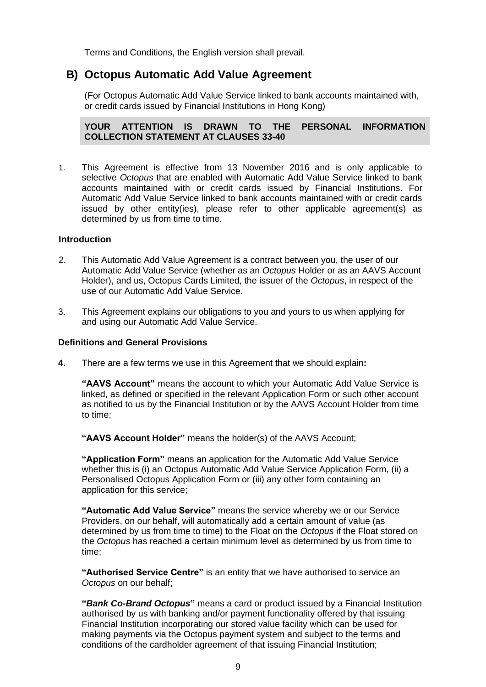Terms and Conditions, the English version shall prevail.

# <span id="page-8-0"></span>**B) Octopus Automatic Add Value Agreement**

(For Octopus Automatic Add Value Service linked to bank accounts maintained with, or credit cards issued by Financial Institutions in Hong Kong)

**YOUR ATTENTION IS DRAWN TO THE PERSONAL INFORMATION COLLECTION STATEMENT AT CLAUSES 33-40**

1. This Agreement is effective from 13 November 2016 and is only applicable to selective *Octopus* that are enabled with Automatic Add Value Service linked to bank accounts maintained with or credit cards issued by Financial Institutions. For Automatic Add Value Service linked to bank accounts maintained with or credit cards issued by other entity(ies), please refer to other applicable agreement(s) as determined by us from time to time.

### **Introduction**

- 2. This Automatic Add Value Agreement is a contract between you, the user of our Automatic Add Value Service (whether as an *Octopus* Holder or as an AAVS Account Holder), and us, Octopus Cards Limited, the issuer of the *Octopus*, in respect of the use of our Automatic Add Value Service.
- 3. This Agreement explains our obligations to you and yours to us when applying for and using our Automatic Add Value Service.

### **Definitions and General Provisions**

**4.** There are a few terms we use in this Agreement that we should explain**:**

**"AAVS Account"** means the account to which your Automatic Add Value Service is linked, as defined or specified in the relevant Application Form or such other account as notified to us by the Financial Institution or by the AAVS Account Holder from time to time;

**"AAVS Account Holder"** means the holder(s) of the AAVS Account;

**"Application Form"** means an application for the Automatic Add Value Service whether this is (i) an Octopus Automatic Add Value Service Application Form, (ii) a Personalised Octopus Application Form or (iii) any other form containing an application for this service;

**"Automatic Add Value Service"** means the service whereby we or our Service Providers, on our behalf, will automatically add a certain amount of value (as determined by us from time to time) to the Float on the *Octopus* if the Float stored on the *Octopus* has reached a certain minimum level as determined by us from time to time;

**"Authorised Service Centre"** is an entity that we have authorised to service an *Octopus* on our behalf;

**"***Bank Co-Brand Octopus***"** means a card or product issued by a Financial Institution authorised by us with banking and/or payment functionality offered by that issuing Financial Institution incorporating our stored value facility which can be used for making payments via the Octopus payment system and subject to the terms and conditions of the cardholder agreement of that issuing Financial Institution;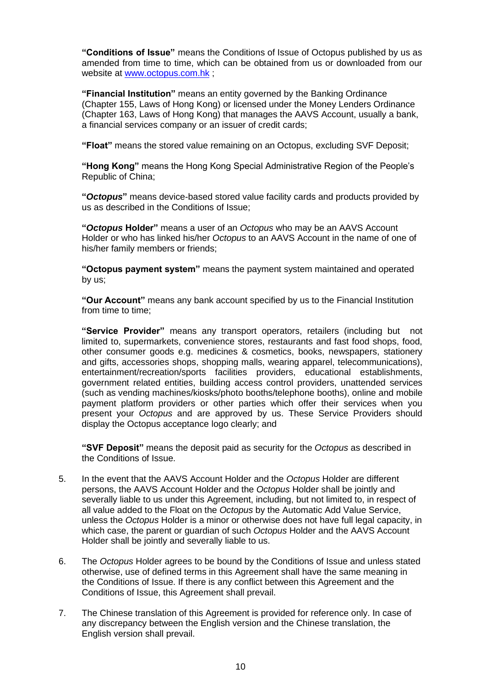**"Conditions of Issue"** means the Conditions of Issue of Octopus published by us as amended from time to time, which can be obtained from us or downloaded from our website at [www.octopus.com.hk](http://www.octopus.com.hk/) ;

**"Financial Institution"** means an entity governed by the Banking Ordinance (Chapter 155, Laws of Hong Kong) or licensed under the Money Lenders Ordinance (Chapter 163, Laws of Hong Kong) that manages the AAVS Account, usually a bank, a financial services company or an issuer of credit cards;

**"Float"** means the stored value remaining on an Octopus, excluding SVF Deposit;

**"Hong Kong"** means the Hong Kong Special Administrative Region of the People's Republic of China;

**"***Octopus***"** means device-based stored value facility cards and products provided by us as described in the Conditions of Issue;

**"***Octopus* **Holder"** means a user of an *Octopus* who may be an AAVS Account Holder or who has linked his/her *Octopus* to an AAVS Account in the name of one of his/her family members or friends;

**"Octopus payment system"** means the payment system maintained and operated by us;

**"Our Account"** means any bank account specified by us to the Financial Institution from time to time;

**"Service Provider"** means any transport operators, retailers (including but not limited to, supermarkets, convenience stores, restaurants and fast food shops, food, other consumer goods e.g. medicines & cosmetics, books, newspapers, stationery and gifts, accessories shops, shopping malls, wearing apparel, telecommunications), entertainment/recreation/sports facilities providers, educational establishments, government related entities, building access control providers, unattended services (such as vending machines/kiosks/photo booths/telephone booths), online and mobile payment platform providers or other parties which offer their services when you present your *Octopus* and are approved by us. These Service Providers should display the Octopus acceptance logo clearly; and

**"SVF Deposit"** means the deposit paid as security for the *Octopus* as described in the Conditions of Issue.

- 5. In the event that the AAVS Account Holder and the *Octopus* Holder are different persons, the AAVS Account Holder and the *Octopus* Holder shall be jointly and severally liable to us under this Agreement, including, but not limited to, in respect of all value added to the Float on the *Octopus* by the Automatic Add Value Service, unless the *Octopus* Holder is a minor or otherwise does not have full legal capacity, in which case, the parent or guardian of such *Octopus* Holder and the AAVS Account Holder shall be jointly and severally liable to us.
- 6. The *Octopus* Holder agrees to be bound by the Conditions of Issue and unless stated otherwise, use of defined terms in this Agreement shall have the same meaning in the Conditions of Issue. If there is any conflict between this Agreement and the Conditions of Issue, this Agreement shall prevail.
- 7. The Chinese translation of this Agreement is provided for reference only. In case of any discrepancy between the English version and the Chinese translation, the English version shall prevail.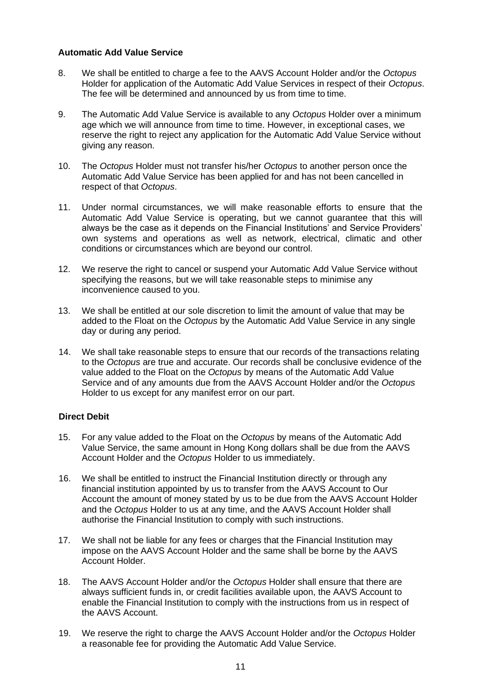## **Automatic Add Value Service**

- 8. We shall be entitled to charge a fee to the AAVS Account Holder and/or the *Octopus*  Holder for application of the Automatic Add Value Services in respect of their *Octopus*. The fee will be determined and announced by us from time to time.
- 9. The Automatic Add Value Service is available to any *Octopus* Holder over a minimum age which we will announce from time to time. However, in exceptional cases, we reserve the right to reject any application for the Automatic Add Value Service without giving any reason.
- 10. The *Octopus* Holder must not transfer his/her *Octopus* to another person once the Automatic Add Value Service has been applied for and has not been cancelled in respect of that *Octopus*.
- 11. Under normal circumstances, we will make reasonable efforts to ensure that the Automatic Add Value Service is operating, but we cannot guarantee that this will always be the case as it depends on the Financial Institutions' and Service Providers' own systems and operations as well as network, electrical, climatic and other conditions or circumstances which are beyond our control.
- 12. We reserve the right to cancel or suspend your Automatic Add Value Service without specifying the reasons, but we will take reasonable steps to minimise any inconvenience caused to you.
- 13. We shall be entitled at our sole discretion to limit the amount of value that may be added to the Float on the *Octopus* by the Automatic Add Value Service in any single day or during any period.
- 14. We shall take reasonable steps to ensure that our records of the transactions relating to the *Octopus* are true and accurate. Our records shall be conclusive evidence of the value added to the Float on the *Octopus* by means of the Automatic Add Value Service and of any amounts due from the AAVS Account Holder and/or the *Octopus*  Holder to us except for any manifest error on our part.

## **Direct Debit**

- 15. For any value added to the Float on the *Octopus* by means of the Automatic Add Value Service, the same amount in Hong Kong dollars shall be due from the AAVS Account Holder and the *Octopus* Holder to us immediately.
- 16. We shall be entitled to instruct the Financial Institution directly or through any financial institution appointed by us to transfer from the AAVS Account to Our Account the amount of money stated by us to be due from the AAVS Account Holder and the *Octopus* Holder to us at any time, and the AAVS Account Holder shall authorise the Financial Institution to comply with such instructions.
- 17. We shall not be liable for any fees or charges that the Financial Institution may impose on the AAVS Account Holder and the same shall be borne by the AAVS Account Holder.
- 18. The AAVS Account Holder and/or the *Octopus* Holder shall ensure that there are always sufficient funds in, or credit facilities available upon, the AAVS Account to enable the Financial Institution to comply with the instructions from us in respect of the AAVS Account.
- 19. We reserve the right to charge the AAVS Account Holder and/or the *Octopus* Holder a reasonable fee for providing the Automatic Add Value Service.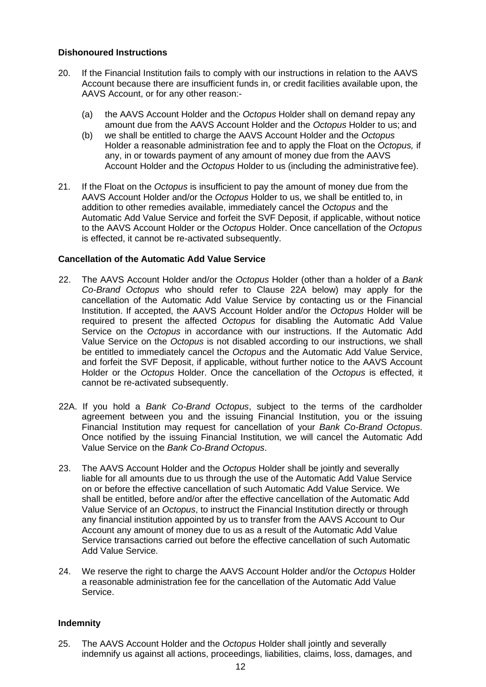### **Dishonoured Instructions**

- 20. If the Financial Institution fails to comply with our instructions in relation to the AAVS Account because there are insufficient funds in, or credit facilities available upon, the AAVS Account, or for any other reason:-
	- (a) the AAVS Account Holder and the *Octopus* Holder shall on demand repay any amount due from the AAVS Account Holder and the *Octopus* Holder to us; and
	- (b) we shall be entitled to charge the AAVS Account Holder and the *Octopus*  Holder a reasonable administration fee and to apply the Float on the *Octopus,* if any, in or towards payment of any amount of money due from the AAVS Account Holder and the *Octopus* Holder to us (including the administrative fee).
- 21. If the Float on the *Octopus* is insufficient to pay the amount of money due from the AAVS Account Holder and/or the *Octopus* Holder to us, we shall be entitled to, in addition to other remedies available, immediately cancel the *Octopus* and the Automatic Add Value Service and forfeit the SVF Deposit, if applicable, without notice to the AAVS Account Holder or the *Octopus* Holder. Once cancellation of the *Octopus*  is effected, it cannot be re-activated subsequently.

### **Cancellation of the Automatic Add Value Service**

- 22. The AAVS Account Holder and/or the *Octopus* Holder (other than a holder of a *Bank Co-Brand Octopus* who should refer to Clause 22A below) may apply for the cancellation of the Automatic Add Value Service by contacting us or the Financial Institution. If accepted, the AAVS Account Holder and/or the *Octopus* Holder will be required to present the affected *Octopus* for disabling the Automatic Add Value Service on the *Octopus* in accordance with our instructions. If the Automatic Add Value Service on the *Octopus* is not disabled according to our instructions, we shall be entitled to immediately cancel the *Octopus* and the Automatic Add Value Service, and forfeit the SVF Deposit, if applicable, without further notice to the AAVS Account Holder or the *Octopus* Holder. Once the cancellation of the *Octopus* is effected, it cannot be re-activated subsequently.
- 22A. If you hold a *Bank Co-Brand Octopus*, subject to the terms of the cardholder agreement between you and the issuing Financial Institution, you or the issuing Financial Institution may request for cancellation of your *Bank Co-Brand Octopus*. Once notified by the issuing Financial Institution, we will cancel the Automatic Add Value Service on the *Bank Co-Brand Octopus*.
- 23. The AAVS Account Holder and the *Octopus* Holder shall be jointly and severally liable for all amounts due to us through the use of the Automatic Add Value Service on or before the effective cancellation of such Automatic Add Value Service. We shall be entitled, before and/or after the effective cancellation of the Automatic Add Value Service of an *Octopus*, to instruct the Financial Institution directly or through any financial institution appointed by us to transfer from the AAVS Account to Our Account any amount of money due to us as a result of the Automatic Add Value Service transactions carried out before the effective cancellation of such Automatic Add Value Service.
- 24. We reserve the right to charge the AAVS Account Holder and/or the *Octopus* Holder a reasonable administration fee for the cancellation of the Automatic Add Value Service.

## **Indemnity**

25. The AAVS Account Holder and the *Octopus* Holder shall jointly and severally indemnify us against all actions, proceedings, liabilities, claims, loss, damages, and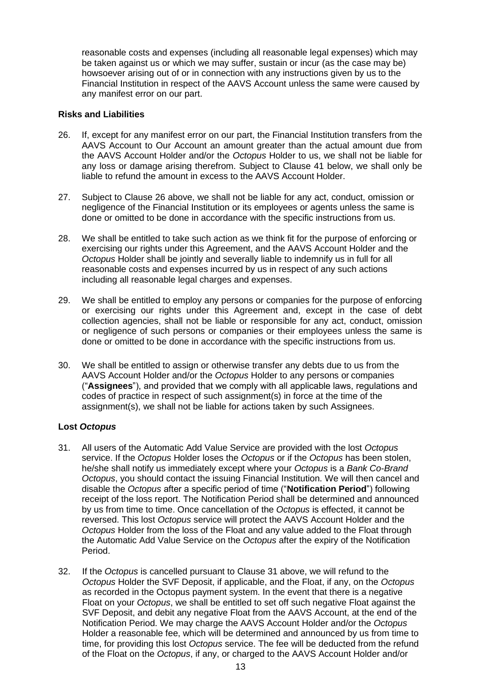reasonable costs and expenses (including all reasonable legal expenses) which may be taken against us or which we may suffer, sustain or incur (as the case may be) howsoever arising out of or in connection with any instructions given by us to the Financial Institution in respect of the AAVS Account unless the same were caused by any manifest error on our part.

### **Risks and Liabilities**

- 26. If, except for any manifest error on our part, the Financial Institution transfers from the AAVS Account to Our Account an amount greater than the actual amount due from the AAVS Account Holder and/or the *Octopus* Holder to us, we shall not be liable for any loss or damage arising therefrom. Subject to Clause 41 below, we shall only be liable to refund the amount in excess to the AAVS Account Holder.
- 27. Subject to Clause 26 above, we shall not be liable for any act, conduct, omission or negligence of the Financial Institution or its employees or agents unless the same is done or omitted to be done in accordance with the specific instructions from us.
- 28. We shall be entitled to take such action as we think fit for the purpose of enforcing or exercising our rights under this Agreement, and the AAVS Account Holder and the *Octopus* Holder shall be jointly and severally liable to indemnify us in full for all reasonable costs and expenses incurred by us in respect of any such actions including all reasonable legal charges and expenses.
- 29. We shall be entitled to employ any persons or companies for the purpose of enforcing or exercising our rights under this Agreement and, except in the case of debt collection agencies, shall not be liable or responsible for any act, conduct, omission or negligence of such persons or companies or their employees unless the same is done or omitted to be done in accordance with the specific instructions from us.
- 30. We shall be entitled to assign or otherwise transfer any debts due to us from the AAVS Account Holder and/or the *Octopus* Holder to any persons or companies ("**Assignees**"), and provided that we comply with all applicable laws, regulations and codes of practice in respect of such assignment(s) in force at the time of the assignment(s), we shall not be liable for actions taken by such Assignees.

## **Lost** *Octopus*

- 31. All users of the Automatic Add Value Service are provided with the lost *Octopus*  service. If the *Octopus* Holder loses the *Octopus* or if the *Octopus* has been stolen, he/she shall notify us immediately except where your *Octopus* is a *Bank Co-Brand Octopus*, you should contact the issuing Financial Institution. We will then cancel and disable the *Octopus* after a specific period of time ("**Notification Period**") following receipt of the loss report. The Notification Period shall be determined and announced by us from time to time. Once cancellation of the *Octopus* is effected, it cannot be reversed. This lost *Octopus* service will protect the AAVS Account Holder and the *Octopus* Holder from the loss of the Float and any value added to the Float through the Automatic Add Value Service on the *Octopus* after the expiry of the Notification Period.
- 32. If the *Octopus* is cancelled pursuant to Clause 31 above, we will refund to the *Octopus* Holder the SVF Deposit, if applicable, and the Float, if any, on the *Octopus*  as recorded in the Octopus payment system. In the event that there is a negative Float on your *Octopus*, we shall be entitled to set off such negative Float against the SVF Deposit, and debit any negative Float from the AAVS Account, at the end of the Notification Period. We may charge the AAVS Account Holder and/or the *Octopus*  Holder a reasonable fee, which will be determined and announced by us from time to time, for providing this lost *Octopus* service. The fee will be deducted from the refund of the Float on the *Octopus*, if any, or charged to the AAVS Account Holder and/or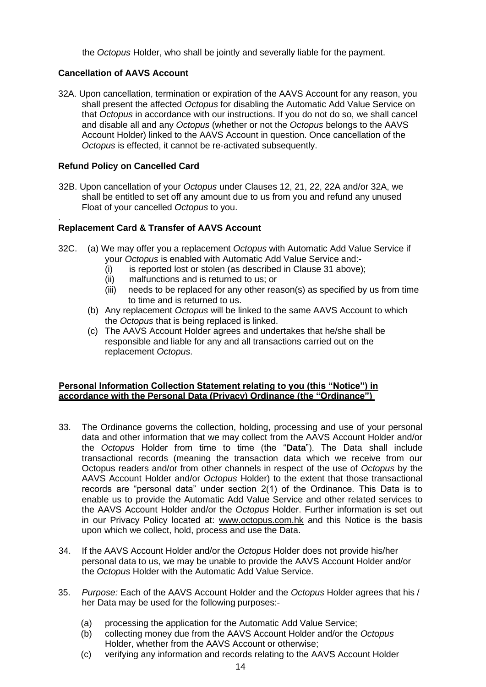the *Octopus* Holder, who shall be jointly and severally liable for the payment.

## **Cancellation of AAVS Account**

32A. Upon cancellation, termination or expiration of the AAVS Account for any reason, you shall present the affected *Octopus* for disabling the Automatic Add Value Service on that *Octopus* in accordance with our instructions. If you do not do so, we shall cancel and disable all and any *Octopus* (whether or not the *Octopus* belongs to the AAVS Account Holder) linked to the AAVS Account in question. Once cancellation of the *Octopus* is effected, it cannot be re-activated subsequently.

## **Refund Policy on Cancelled Card**

32B. Upon cancellation of your *Octopus* under Clauses 12, 21, 22, 22A and/or 32A, we shall be entitled to set off any amount due to us from you and refund any unused Float of your cancelled *Octopus* to you.

#### . **Replacement Card & Transfer of AAVS Account**

- 32C. (a) We may offer you a replacement *Octopus* with Automatic Add Value Service if your *Octopus* is enabled with Automatic Add Value Service and:-
	- (i) is reported lost or stolen (as described in Clause 31 above);
	- (ii) malfunctions and is returned to us; or
	- (iii) needs to be replaced for any other reason(s) as specified by us from time to time and is returned to us.
	- (b) Any replacement *Octopus* will be linked to the same AAVS Account to which the *Octopus* that is being replaced is linked.
	- (c) The AAVS Account Holder agrees and undertakes that he/she shall be responsible and liable for any and all transactions carried out on the replacement *Octopus*.

## **Personal Information Collection Statement relating to you (this "Notice") in accordance with the Personal Data (Privacy) Ordinance (the "Ordinance")**

- 33. The Ordinance governs the collection, holding, processing and use of your personal data and other information that we may collect from the AAVS Account Holder and/or the *Octopus* Holder from time to time (the "**Data**"). The Data shall include transactional records (meaning the transaction data which we receive from our Octopus readers and/or from other channels in respect of the use of *Octopus* by the AAVS Account Holder and/or *Octopus* Holder) to the extent that those transactional records are "personal data" under section 2(1) of the Ordinance. This Data is to enable us to provide the Automatic Add Value Service and other related services to the AAVS Account Holder and/or the *Octopus* Holder. Further information is set out in our Privacy Policy located at: [www.octopus.com.hk](http://www.octopus.com.hk/) and this Notice is the basis upon which we collect, hold, process and use the Data.
- 34. If the AAVS Account Holder and/or the *Octopus* Holder does not provide his/her personal data to us, we may be unable to provide the AAVS Account Holder and/or the *Octopus* Holder with the Automatic Add Value Service.
- 35. *Purpose:* Each of the AAVS Account Holder and the *Octopus* Holder agrees that his / her Data may be used for the following purposes:-
	- (a) processing the application for the Automatic Add Value Service;
	- (b) collecting money due from the AAVS Account Holder and/or the *Octopus*  Holder, whether from the AAVS Account or otherwise;
	- (c) verifying any information and records relating to the AAVS Account Holder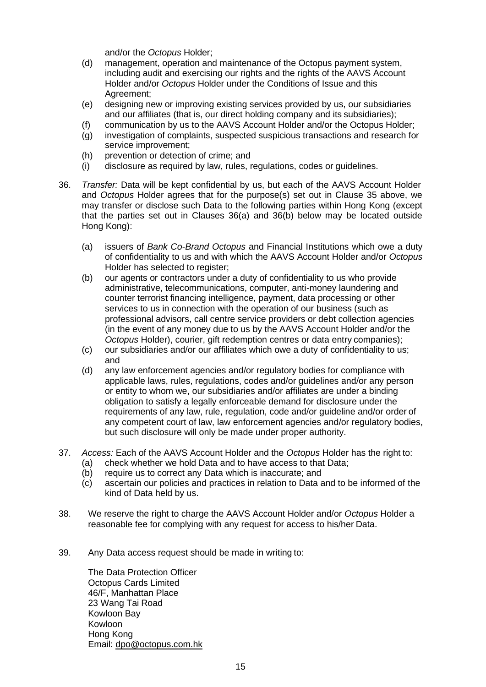and/or the *Octopus* Holder;

- (d) management, operation and maintenance of the Octopus payment system, including audit and exercising our rights and the rights of the AAVS Account Holder and/or *Octopus* Holder under the Conditions of Issue and this Agreement;
- (e) designing new or improving existing services provided by us, our subsidiaries and our affiliates (that is, our direct holding company and its subsidiaries);
- (f) communication by us to the AAVS Account Holder and/or the Octopus Holder;
- (g) investigation of complaints, suspected suspicious transactions and research for service improvement;
- (h) prevention or detection of crime; and
- (i) disclosure as required by law, rules, regulations, codes or guidelines.
- 36. *Transfer:* Data will be kept confidential by us, but each of the AAVS Account Holder and *Octopus* Holder agrees that for the purpose(s) set out in Clause 35 above, we may transfer or disclose such Data to the following parties within Hong Kong (except that the parties set out in Clauses 36(a) and 36(b) below may be located outside Hong Kong):
	- (a) issuers of *Bank Co-Brand Octopus* and Financial Institutions which owe a duty of confidentiality to us and with which the AAVS Account Holder and/or *Octopus*  Holder has selected to register;
	- (b) our agents or contractors under a duty of confidentiality to us who provide administrative, telecommunications, computer, anti-money laundering and counter terrorist financing intelligence, payment, data processing or other services to us in connection with the operation of our business (such as professional advisors, call centre service providers or debt collection agencies (in the event of any money due to us by the AAVS Account Holder and/or the *Octopus* Holder), courier, gift redemption centres or data entry companies);
	- (c) our subsidiaries and/or our affiliates which owe a duty of confidentiality to us; and
	- (d) any law enforcement agencies and/or regulatory bodies for compliance with applicable laws, rules, regulations, codes and/or guidelines and/or any person or entity to whom we, our subsidiaries and/or affiliates are under a binding obligation to satisfy a legally enforceable demand for disclosure under the requirements of any law, rule, regulation, code and/or guideline and/or order of any competent court of law, law enforcement agencies and/or regulatory bodies, but such disclosure will only be made under proper authority.
- 37. *Access:* Each of the AAVS Account Holder and the *Octopus* Holder has the right to:
	- (a) check whether we hold Data and to have access to that Data;
	- (b) require us to correct any Data which is inaccurate; and
	- (c) ascertain our policies and practices in relation to Data and to be informed of the kind of Data held by us.
- 38. We reserve the right to charge the AAVS Account Holder and/or *Octopus* Holder a reasonable fee for complying with any request for access to his/her Data.
- 39. Any Data access request should be made in writing to:

The Data Protection Officer Octopus Cards Limited 46/F, Manhattan Place 23 Wang Tai Road Kowloon Bay Kowloon Hong Kong [Email: dpo@octopus.com.hk](mailto:dpo@octopus.com.hk)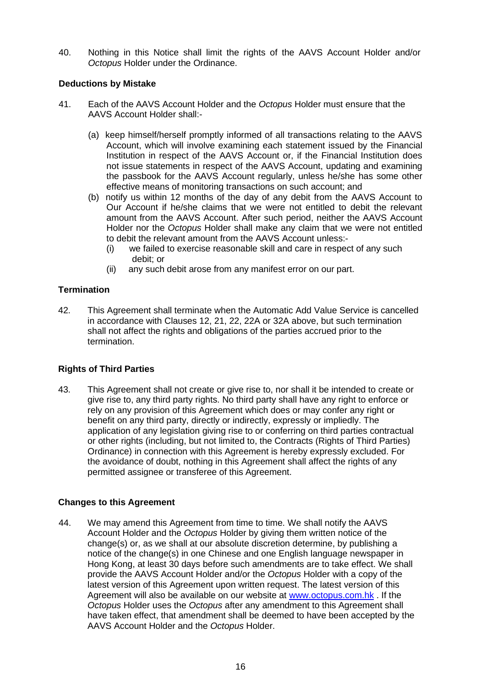40. Nothing in this Notice shall limit the rights of the AAVS Account Holder and/or *Octopus* Holder under the Ordinance.

## **Deductions by Mistake**

- 41. Each of the AAVS Account Holder and the *Octopus* Holder must ensure that the AAVS Account Holder shall:-
	- (a) keep himself/herself promptly informed of all transactions relating to the AAVS Account, which will involve examining each statement issued by the Financial Institution in respect of the AAVS Account or, if the Financial Institution does not issue statements in respect of the AAVS Account, updating and examining the passbook for the AAVS Account regularly, unless he/she has some other effective means of monitoring transactions on such account; and
	- (b) notify us within 12 months of the day of any debit from the AAVS Account to Our Account if he/she claims that we were not entitled to debit the relevant amount from the AAVS Account. After such period, neither the AAVS Account Holder nor the *Octopus* Holder shall make any claim that we were not entitled to debit the relevant amount from the AAVS Account unless:-
		- (i) we failed to exercise reasonable skill and care in respect of any such debit; or
		- (ii) any such debit arose from any manifest error on our part.

## **Termination**

42. This Agreement shall terminate when the Automatic Add Value Service is cancelled in accordance with Clauses 12, 21, 22, 22A or 32A above, but such termination shall not affect the rights and obligations of the parties accrued prior to the termination.

## **Rights of Third Parties**

43. This Agreement shall not create or give rise to, nor shall it be intended to create or give rise to, any third party rights. No third party shall have any right to enforce or rely on any provision of this Agreement which does or may confer any right or benefit on any third party, directly or indirectly, expressly or impliedly. The application of any legislation giving rise to or conferring on third parties contractual or other rights (including, but not limited to, the Contracts (Rights of Third Parties) Ordinance) in connection with this Agreement is hereby expressly excluded. For the avoidance of doubt, nothing in this Agreement shall affect the rights of any permitted assignee or transferee of this Agreement.

## **Changes to this Agreement**

44. We may amend this Agreement from time to time. We shall notify the AAVS Account Holder and the *Octopus* Holder by giving them written notice of the change(s) or, as we shall at our absolute discretion determine, by publishing a notice of the change(s) in one Chinese and one English language newspaper in Hong Kong, at least 30 days before such amendments are to take effect. We shall provide the AAVS Account Holder and/or the *Octopus* Holder with a copy of the latest version of this Agreement upon written request. The latest version of this Agreement will also be available on our website at [www.octopus.com.hk](http://www.octopus.com.hk/) . If the *Octopus* Holder uses the *Octopus* after any amendment to this Agreement shall have taken effect, that amendment shall be deemed to have been accepted by the AAVS Account Holder and the *Octopus* Holder.